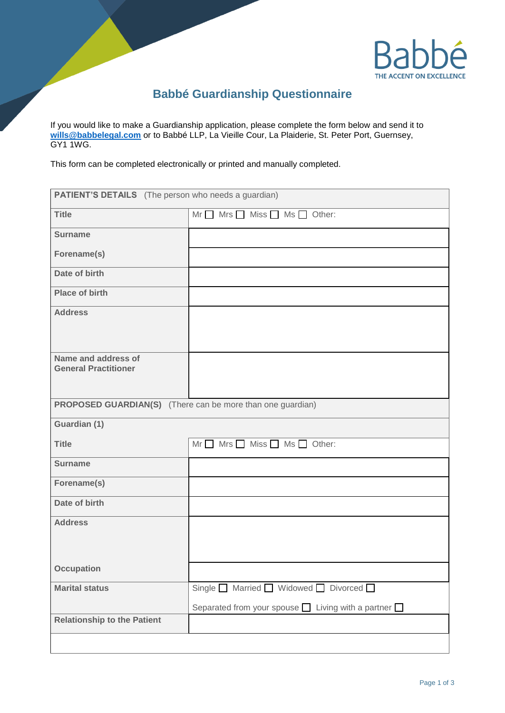

## **Babbé Guardianship Questionnaire**

If you would like to make a Guardianship application, please complete the form below and send it to **[wills@babbelegal.com](mailto:wills@babbelegal.com)** or to Babbé LLP, La Vieille Cour, La Plaiderie, St. Peter Port, Guernsey, GY1 1WG.

This form can be completed electronically or printed and manually completed.

| <b>PATIENT'S DETAILS</b> (The person who needs a guardian)        |                                                                |  |
|-------------------------------------------------------------------|----------------------------------------------------------------|--|
| <b>Title</b>                                                      | $Mr \tMrs$ Miss $M$ Ms $C$ Other:                              |  |
| <b>Surname</b>                                                    |                                                                |  |
| Forename(s)                                                       |                                                                |  |
| Date of birth                                                     |                                                                |  |
| <b>Place of birth</b>                                             |                                                                |  |
| <b>Address</b>                                                    |                                                                |  |
| Name and address of<br><b>General Practitioner</b>                |                                                                |  |
| <b>PROPOSED GUARDIAN(S)</b> (There can be more than one guardian) |                                                                |  |
| Guardian (1)                                                      |                                                                |  |
| <b>Title</b>                                                      | $Mr \tMrs \tMiss \tM$ Miss $M$ Ms $M$ Other:                   |  |
| <b>Surname</b>                                                    |                                                                |  |
| Forename(s)                                                       |                                                                |  |
| Date of birth                                                     |                                                                |  |
| <b>Address</b>                                                    |                                                                |  |
| <b>Occupation</b>                                                 |                                                                |  |
| <b>Marital status</b>                                             | Single Married Widowed D Divorced D                            |  |
|                                                                   | Separated from your spouse $\Box$ Living with a partner $\Box$ |  |
| <b>Relationship to the Patient</b>                                |                                                                |  |
|                                                                   |                                                                |  |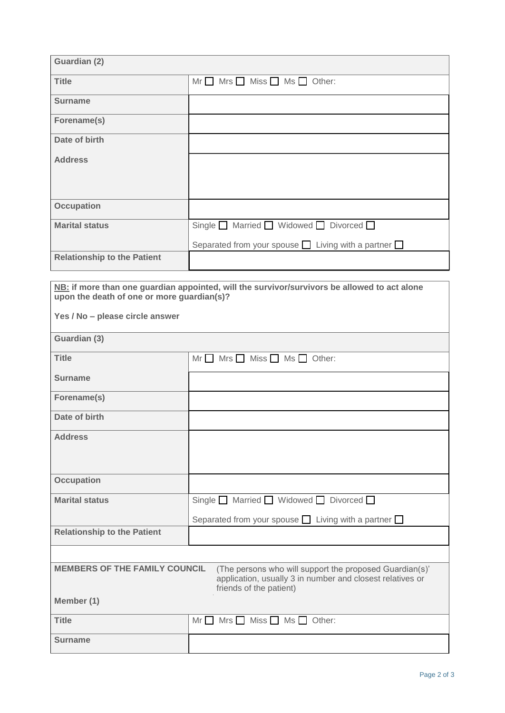| Guardian (2)                       |                                                                |
|------------------------------------|----------------------------------------------------------------|
| <b>Title</b>                       | $Mrs$ $\Box$ Miss $\Box$ Ms $\Box$ Other:<br>Mr                |
| <b>Surname</b>                     |                                                                |
| Forename(s)                        |                                                                |
| Date of birth                      |                                                                |
| <b>Address</b>                     |                                                                |
|                                    |                                                                |
| <b>Occupation</b>                  |                                                                |
| <b>Marital status</b>              | Single Married Widowed DDivorced                               |
|                                    | Separated from your spouse $\Box$ Living with a partner $\Box$ |
| <b>Relationship to the Patient</b> |                                                                |

| NB: if more than one guardian appointed, will the survivor/survivors be allowed to act alone |
|----------------------------------------------------------------------------------------------|
| upon the death of one or more guardian(s)?                                                   |
|                                                                                              |

**Yes / No – please circle answer**

| Guardian (3)                         |                                                                                                                                                 |  |
|--------------------------------------|-------------------------------------------------------------------------------------------------------------------------------------------------|--|
| <b>Title</b>                         | $Mrs$ Miss $\Box$ Ms $\Box$ Other:<br>Mr                                                                                                        |  |
| <b>Surname</b>                       |                                                                                                                                                 |  |
| Forename(s)                          |                                                                                                                                                 |  |
| Date of birth                        |                                                                                                                                                 |  |
| <b>Address</b>                       |                                                                                                                                                 |  |
| <b>Occupation</b>                    |                                                                                                                                                 |  |
| <b>Marital status</b>                | Single $\Box$ Married $\Box$ Widowed $\Box$ Divorced $\Box$<br>Separated from your spouse $\Box$ Living with a partner $\Box$                   |  |
| <b>Relationship to the Patient</b>   |                                                                                                                                                 |  |
|                                      |                                                                                                                                                 |  |
| <b>MEMBERS OF THE FAMILY COUNCIL</b> | (The persons who will support the proposed Guardian(s)'<br>application, usually 3 in number and closest relatives or<br>friends of the patient) |  |
| Member (1)                           |                                                                                                                                                 |  |
| <b>Title</b>                         | $Mrs$ Miss $\Box$<br>Mr<br>$Ms \Box$ Other:                                                                                                     |  |
| <b>Surname</b>                       |                                                                                                                                                 |  |